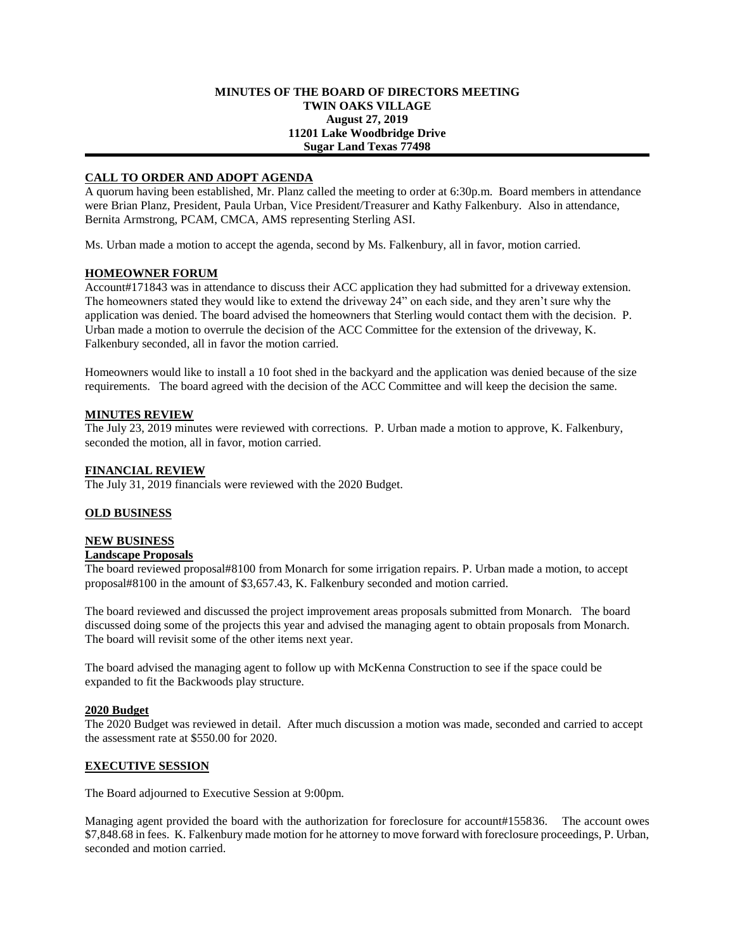#### **MINUTES OF THE BOARD OF DIRECTORS MEETING TWIN OAKS VILLAGE August 27, 2019 11201 Lake Woodbridge Drive Sugar Land Texas 77498**

# **CALL TO ORDER AND ADOPT AGENDA**

A quorum having been established, Mr. Planz called the meeting to order at 6:30p.m. Board members in attendance were Brian Planz, President, Paula Urban, Vice President/Treasurer and Kathy Falkenbury. Also in attendance, Bernita Armstrong, PCAM, CMCA, AMS representing Sterling ASI.

Ms. Urban made a motion to accept the agenda, second by Ms. Falkenbury, all in favor, motion carried.

# **HOMEOWNER FORUM**

Account#171843 was in attendance to discuss their ACC application they had submitted for a driveway extension. The homeowners stated they would like to extend the driveway 24" on each side, and they aren't sure why the application was denied. The board advised the homeowners that Sterling would contact them with the decision. P. Urban made a motion to overrule the decision of the ACC Committee for the extension of the driveway, K. Falkenbury seconded, all in favor the motion carried.

Homeowners would like to install a 10 foot shed in the backyard and the application was denied because of the size requirements. The board agreed with the decision of the ACC Committee and will keep the decision the same.

#### **MINUTES REVIEW**

The July 23, 2019 minutes were reviewed with corrections. P. Urban made a motion to approve, K. Falkenbury, seconded the motion, all in favor, motion carried.

#### **FINANCIAL REVIEW**

The July 31, 2019 financials were reviewed with the 2020 Budget.

# **OLD BUSINESS**

# **NEW BUSINESS**

#### **Landscape Proposals**

The board reviewed proposal#8100 from Monarch for some irrigation repairs. P. Urban made a motion, to accept proposal#8100 in the amount of \$3,657.43, K. Falkenbury seconded and motion carried.

The board reviewed and discussed the project improvement areas proposals submitted from Monarch. The board discussed doing some of the projects this year and advised the managing agent to obtain proposals from Monarch. The board will revisit some of the other items next year.

The board advised the managing agent to follow up with McKenna Construction to see if the space could be expanded to fit the Backwoods play structure.

#### **2020 Budget**

The 2020 Budget was reviewed in detail. After much discussion a motion was made, seconded and carried to accept the assessment rate at \$550.00 for 2020.

# **EXECUTIVE SESSION**

The Board adjourned to Executive Session at 9:00pm.

Managing agent provided the board with the authorization for foreclosure for account#155836. The account owes \$7,848.68 in fees. K. Falkenbury made motion for he attorney to move forward with foreclosure proceedings, P. Urban, seconded and motion carried.